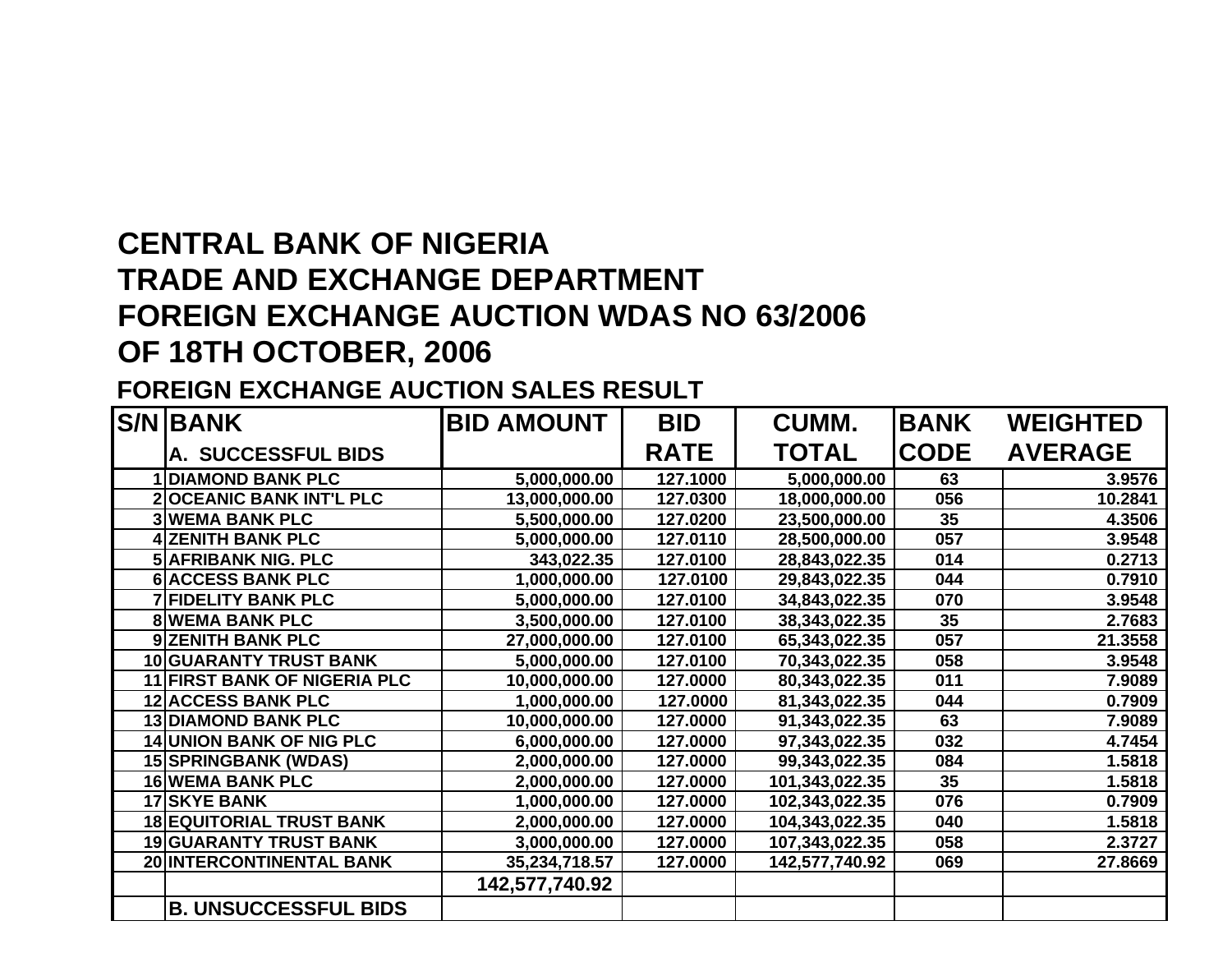## **CENTRAL BANK OF NIGERIA TRADE AND EXCHANGE DEPARTMENT FOREIGN EXCHANGE AUCTION WDAS NO 63/2006 OF 18TH OCTOBER, 2006**

## **FOREIGN EXCHANGE AUCTION SALES RESULT**

| <b>S/N BANK</b>                     | <b>BID AMOUNT</b> | <b>BID</b>  | CUMM.          | <b>BANK</b> | <b>WEIGHTED</b> |
|-------------------------------------|-------------------|-------------|----------------|-------------|-----------------|
| A. SUCCESSFUL BIDS                  |                   | <b>RATE</b> | <b>TOTAL</b>   | <b>CODE</b> | <b>AVERAGE</b>  |
| <b>DIAMOND BANK PLC</b>             | 5,000,000.00      | 127.1000    | 5,000,000.00   | 63          | 3.9576          |
| <b>2OCEANIC BANK INT'L PLC</b>      | 13,000,000.00     | 127.0300    | 18,000,000.00  | 056         | 10.2841         |
| <b>3 WEMA BANK PLC</b>              | 5,500,000.00      | 127.0200    | 23,500,000.00  | 35          | 4.3506          |
| <b>4 ZENITH BANK PLC</b>            | 5,000,000.00      | 127.0110    | 28,500,000.00  | 057         | 3.9548          |
| <b>5 AFRIBANK NIG. PLC</b>          | 343,022.35        | 127.0100    | 28,843,022.35  | 014         | 0.2713          |
| <b>6 ACCESS BANK PLC</b>            | 1,000,000.00      | 127.0100    | 29,843,022.35  | 044         | 0.7910          |
| <b>7 FIDELITY BANK PLC</b>          | 5,000,000.00      | 127.0100    | 34,843,022.35  | 070         | 3.9548          |
| <b>8 WEMA BANK PLC</b>              | 3,500,000.00      | 127.0100    | 38,343,022.35  | 35          | 2.7683          |
| 9 ZENITH BANK PLC                   | 27,000,000.00     | 127.0100    | 65,343,022.35  | 057         | 21.3558         |
| <b>10 GUARANTY TRUST BANK</b>       | 5,000,000.00      | 127.0100    | 70,343,022.35  | 058         | 3.9548          |
| <b>11 FIRST BANK OF NIGERIA PLC</b> | 10,000,000.00     | 127.0000    | 80,343,022.35  | 011         | 7.9089          |
| <b>12 ACCESS BANK PLC</b>           | 1,000,000.00      | 127.0000    | 81,343,022.35  | 044         | 0.7909          |
| <b>13 DIAMOND BANK PLC</b>          | 10,000,000.00     | 127.0000    | 91,343,022.35  | 63          | 7.9089          |
| <b>14 UNION BANK OF NIG PLC</b>     | 6,000,000.00      | 127.0000    | 97,343,022.35  | 032         | 4.7454          |
| <b>15 SPRINGBANK (WDAS)</b>         | 2,000,000.00      | 127.0000    | 99,343,022.35  | 084         | 1.5818          |
| <b>16 WEMA BANK PLC</b>             | 2,000,000.00      | 127.0000    | 101,343,022.35 | 35          | 1.5818          |
| <b>17 SKYE BANK</b>                 | 1,000,000.00      | 127.0000    | 102,343,022.35 | 076         | 0.7909          |
| <b>18 EQUITORIAL TRUST BANK</b>     | 2,000,000.00      | 127.0000    | 104,343,022.35 | 040         | 1.5818          |
| <b>19 GUARANTY TRUST BANK</b>       | 3,000,000.00      | 127.0000    | 107,343,022.35 | 058         | 2.3727          |
| 20 INTERCONTINENTAL BANK            | 35,234,718.57     | 127.0000    | 142,577,740.92 | 069         | 27.8669         |
|                                     | 142,577,740.92    |             |                |             |                 |
| <b>B. UNSUCCESSFUL BIDS</b>         |                   |             |                |             |                 |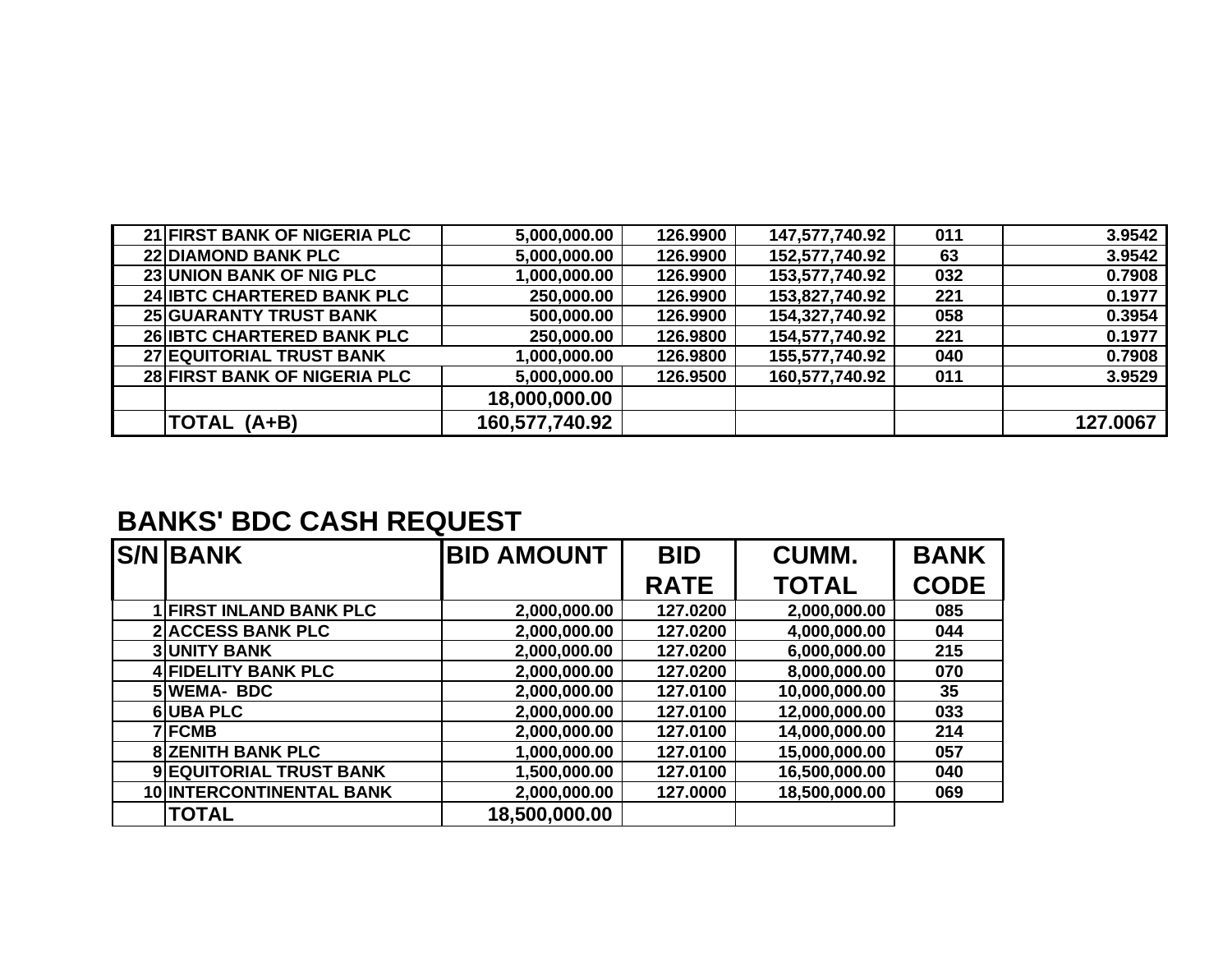|                                | 28 FIRST BANK OF NIGERIA PLC | 5,000,000.00      | 126.9500    | 160,577,740.92 | 011         | 3.9529   |  |  |  |  |
|--------------------------------|------------------------------|-------------------|-------------|----------------|-------------|----------|--|--|--|--|
|                                |                              | 18,000,000.00     |             |                |             |          |  |  |  |  |
|                                | TOTAL (A+B)                  | 160,577,740.92    |             |                |             | 127.0067 |  |  |  |  |
|                                |                              |                   |             |                |             |          |  |  |  |  |
|                                |                              |                   |             |                |             |          |  |  |  |  |
|                                |                              |                   |             |                |             |          |  |  |  |  |
| <b>BANKS' BDC CASH REQUEST</b> |                              |                   |             |                |             |          |  |  |  |  |
|                                | <b>S/N BANK</b>              | <b>BID AMOUNT</b> | <b>BID</b>  | CUMM.          | <b>BANK</b> |          |  |  |  |  |
|                                |                              |                   |             |                |             |          |  |  |  |  |
|                                |                              |                   | <b>RATE</b> | <b>TOTAL</b>   | <b>CODE</b> |          |  |  |  |  |
|                                | <b>FIRST INLAND BANK PLC</b> | 2,000,000.00      | 127.0200    | 2,000,000.00   | 085         |          |  |  |  |  |
|                                | <b>2 ACCESS BANK PLC</b>     | 2,000,000.00      | 127.0200    | 4,000,000.00   | 044         |          |  |  |  |  |
|                                | <b>3 UNITY BANK</b>          | 2,000,000.00      | 127.0200    | 6,000,000.00   | 215         |          |  |  |  |  |
|                                | <b>4 FIDELITY BANK PLC</b>   | 2,000,000.00      | 127.0200    | 8,000,000.00   | 070         |          |  |  |  |  |
|                                | 5WEMA-BDC                    | 2,000,000.00      | 127.0100    | 10,000,000.00  | 35          |          |  |  |  |  |
|                                | <b>6UBA PLC</b>              | 2,000,000.00      | 127.0100    | 12,000,000.00  | 033         |          |  |  |  |  |
|                                | <b>7 FCMB</b>                | 2,000,000.00      | 127.0100    | 14,000,000.00  | 214         |          |  |  |  |  |
|                                | <b>8 ZENITH BANK PLC</b>     | 1,000,000.00      | 127.0100    | 15,000,000.00  | 057         |          |  |  |  |  |

 **EQUITORIAL TRUST BANK 1,500,000.00 127.0100 16,500,000.00 040 INTERCONTINENTAL BANK 2,000,000.00 127.0000 18,500,000.00 069**

**TOTAL 18,500,000.00**

 **FIRST BANK OF NIGERIA PLC 5,000,000.00 126.9900 147,577,740.92 011 3.9542 DIAMOND BANK PLC 5,000,000.00 126.9900 152,577,740.92 63 3.9542 UNION BANK OF NIG PLC 1,000,000.00 126.9900 153,577,740.92 032 0.7908 IBTC CHARTERED BANK PLC 250,000.00 126.9900 153,827,740.92 221 0.1977 GUARANTY TRUST BANK 500,000.00 126.9900 154,327,740.92 058 0.3954 IBTC CHARTERED BANK PLC 250,000.00 126.9800 154,577,740.92 221 0.1977 EQUITORIAL TRUST BANK 1,000,000.00 126.9800 155,577,740.92 040 0.7908**